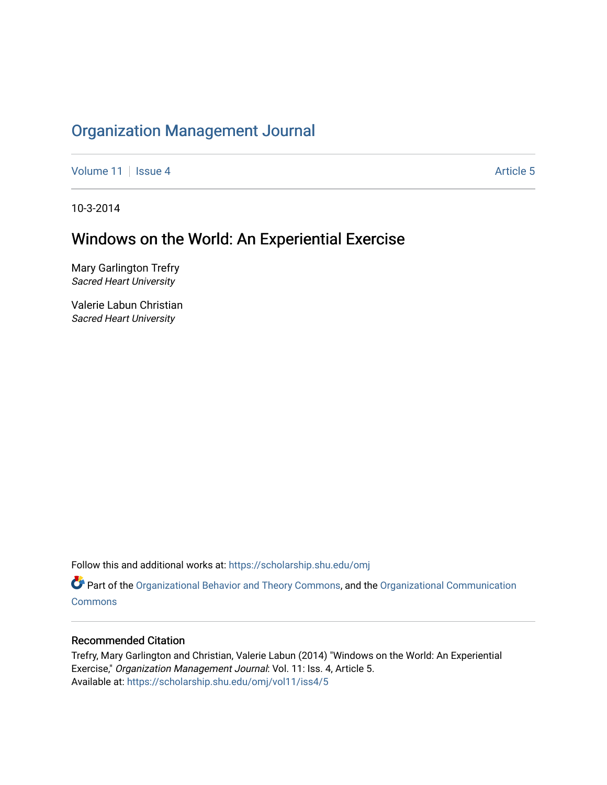## [Organization Management Journal](https://scholarship.shu.edu/omj)

[Volume 11](https://scholarship.shu.edu/omj/vol11) | [Issue 4](https://scholarship.shu.edu/omj/vol11/iss4) Article 5

10-3-2014

# Windows on the World: An Experiential Exercise

Mary Garlington Trefry Sacred Heart University

Valerie Labun Christian Sacred Heart University

Follow this and additional works at: [https://scholarship.shu.edu/omj](https://scholarship.shu.edu/omj?utm_source=scholarship.shu.edu%2Fomj%2Fvol11%2Fiss4%2F5&utm_medium=PDF&utm_campaign=PDFCoverPages) 

Part of the [Organizational Behavior and Theory Commons,](http://network.bepress.com/hgg/discipline/639?utm_source=scholarship.shu.edu%2Fomj%2Fvol11%2Fiss4%2F5&utm_medium=PDF&utm_campaign=PDFCoverPages) and the [Organizational Communication](http://network.bepress.com/hgg/discipline/335?utm_source=scholarship.shu.edu%2Fomj%2Fvol11%2Fiss4%2F5&utm_medium=PDF&utm_campaign=PDFCoverPages) **[Commons](http://network.bepress.com/hgg/discipline/335?utm_source=scholarship.shu.edu%2Fomj%2Fvol11%2Fiss4%2F5&utm_medium=PDF&utm_campaign=PDFCoverPages)** 

## Recommended Citation

Trefry, Mary Garlington and Christian, Valerie Labun (2014) "Windows on the World: An Experiential Exercise," Organization Management Journal: Vol. 11: Iss. 4, Article 5. Available at: [https://scholarship.shu.edu/omj/vol11/iss4/5](https://scholarship.shu.edu/omj/vol11/iss4/5?utm_source=scholarship.shu.edu%2Fomj%2Fvol11%2Fiss4%2F5&utm_medium=PDF&utm_campaign=PDFCoverPages)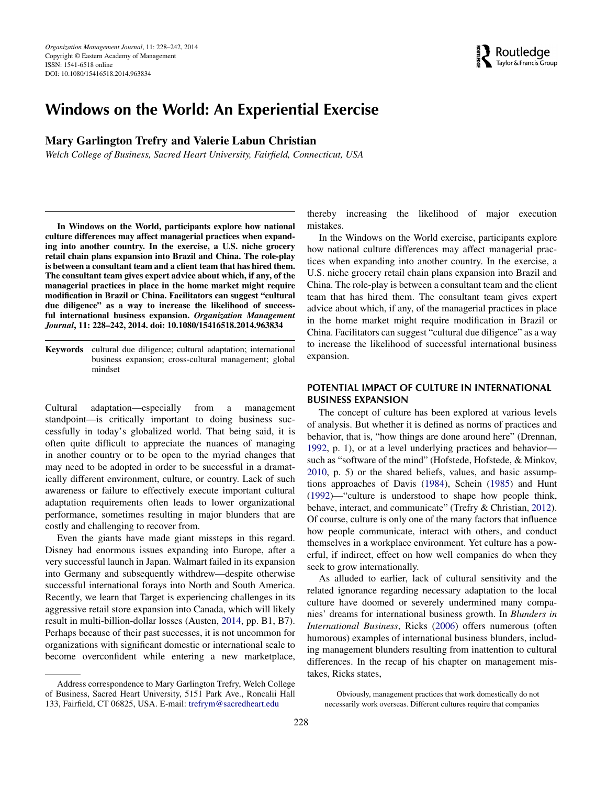# **Windows on the World: An Experiential Exercise**

## **Mary Garlington Trefry and Valerie Labun Christian**

*Welch College of Business, Sacred Heart University, Fairfield, Connecticut, USA*

**In Windows on the World, participants explore how national culture differences may affect managerial practices when expanding into another country. In the exercise, a U.S. niche grocery retail chain plans expansion into Brazil and China. The role-play is between a consultant team and a client team that has hired them. The consultant team gives expert advice about which, if any, of the managerial practices in place in the home market might require modification in Brazil or China. Facilitators can suggest "cultural due diligence" as a way to increase the likelihood of successful international business expansion.** *Organization Management Journal***, 11: 228–242, 2014. doi: 10.1080/15416518.2014.963834**

**Keywords** cultural due diligence; cultural adaptation; international business expansion; cross-cultural management; global mindset

Cultural adaptation—especially from a management standpoint—is critically important to doing business successfully in today's globalized world. That being said, it is often quite difficult to appreciate the nuances of managing in another country or to be open to the myriad changes that may need to be adopted in order to be successful in a dramatically different environment, culture, or country. Lack of such awareness or failure to effectively execute important cultural adaptation requirements often leads to lower organizational performance, sometimes resulting in major blunders that are costly and challenging to recover from.

Even the giants have made giant missteps in this regard. Disney had enormous issues expanding into Europe, after a very successful launch in Japan. Walmart failed in its expansion into Germany and subsequently withdrew—despite otherwise successful international forays into North and South America. Recently, we learn that Target is experiencing challenges in its aggressive retail store expansion into Canada, which will likely result in multi-billion-dollar losses (Austen, [2014,](#page-10-0) pp. B1, B7). Perhaps because of their past successes, it is not uncommon for organizations with significant domestic or international scale to become overconfident while entering a new marketplace,

thereby increasing the likelihood of major execution mistakes.

In the Windows on the World exercise, participants explore how national culture differences may affect managerial practices when expanding into another country. In the exercise, a U.S. niche grocery retail chain plans expansion into Brazil and China. The role-play is between a consultant team and the client team that has hired them. The consultant team gives expert advice about which, if any, of the managerial practices in place in the home market might require modification in Brazil or China. Facilitators can suggest "cultural due diligence" as a way to increase the likelihood of successful international business expansion.

## **POTENTIAL IMPACT OF CULTURE IN INTERNATIONAL BUSINESS EXPANSION**

The concept of culture has been explored at various levels of analysis. But whether it is defined as norms of practices and behavior, that is, "how things are done around here" (Drennan, [1992,](#page-10-1) p. 1), or at a level underlying practices and behavior such as "software of the mind" (Hofstede, Hofstede, & Minkov, [2010,](#page-10-2) p. 5) or the shared beliefs, values, and basic assumptions approaches of Davis [\(1984\)](#page-10-3), Schein [\(1985\)](#page-10-4) and Hunt [\(1992\)](#page-10-5)—"culture is understood to shape how people think, behave, interact, and communicate" (Trefry & Christian, [2012\)](#page-10-6). Of course, culture is only one of the many factors that influence how people communicate, interact with others, and conduct themselves in a workplace environment. Yet culture has a powerful, if indirect, effect on how well companies do when they seek to grow internationally.

As alluded to earlier, lack of cultural sensitivity and the related ignorance regarding necessary adaptation to the local culture have doomed or severely undermined many companies' dreams for international business growth. In *Blunders in International Business*, Ricks [\(2006\)](#page-10-7) offers numerous (often humorous) examples of international business blunders, including management blunders resulting from inattention to cultural differences. In the recap of his chapter on management mistakes, Ricks states,



Address correspondence to Mary Garlington Trefry, Welch College of Business, Sacred Heart University, 5151 Park Ave., Roncalii Hall 133, Fairfield, CT 06825, USA. E-mail: [trefrym@sacredheart.edu](mailto:trefrym@sacredheart.edu)

Obviously, management practices that work domestically do not necessarily work overseas. Different cultures require that companies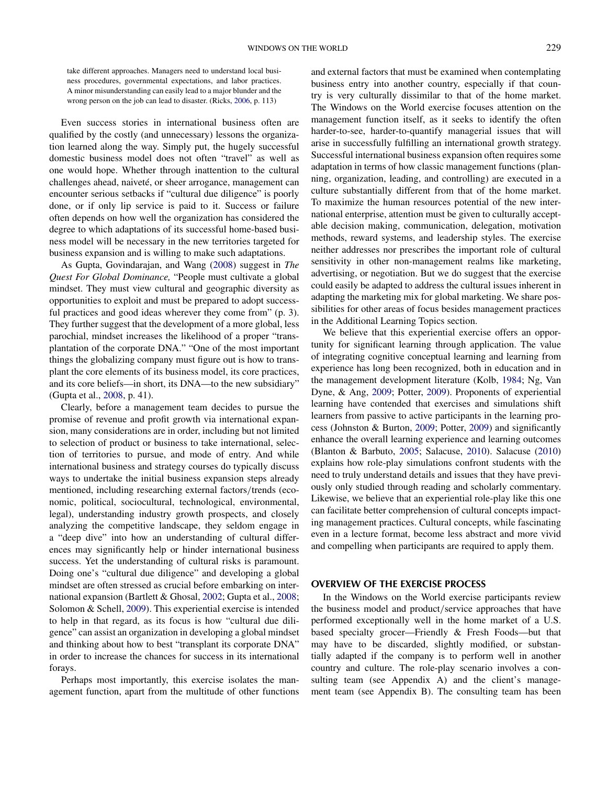take different approaches. Managers need to understand local business procedures, governmental expectations, and labor practices. A minor misunderstanding can easily lead to a major blunder and the wrong person on the job can lead to disaster. (Ricks, [2006,](#page-10-7) p. 113)

Even success stories in international business often are qualified by the costly (and unnecessary) lessons the organization learned along the way. Simply put, the hugely successful domestic business model does not often "travel" as well as one would hope. Whether through inattention to the cultural challenges ahead, naiveté, or sheer arrogance, management can encounter serious setbacks if "cultural due diligence" is poorly done, or if only lip service is paid to it. Success or failure often depends on how well the organization has considered the degree to which adaptations of its successful home-based business model will be necessary in the new territories targeted for business expansion and is willing to make such adaptations.

As Gupta, Govindarajan, and Wang [\(2008\)](#page-10-8) suggest in *The Quest For Global Dominance,* "People must cultivate a global mindset. They must view cultural and geographic diversity as opportunities to exploit and must be prepared to adopt successful practices and good ideas wherever they come from" (p. 3). They further suggest that the development of a more global, less parochial, mindset increases the likelihood of a proper "transplantation of the corporate DNA." "One of the most important things the globalizing company must figure out is how to transplant the core elements of its business model, its core practices, and its core beliefs—in short, its DNA—to the new subsidiary" (Gupta et al., [2008,](#page-10-8) p. 41).

Clearly, before a management team decides to pursue the promise of revenue and profit growth via international expansion, many considerations are in order, including but not limited to selection of product or business to take international, selection of territories to pursue, and mode of entry. And while international business and strategy courses do typically discuss ways to undertake the initial business expansion steps already mentioned, including researching external factors*/*trends (economic, political, sociocultural, technological, environmental, legal), understanding industry growth prospects, and closely analyzing the competitive landscape, they seldom engage in a "deep dive" into how an understanding of cultural differences may significantly help or hinder international business success. Yet the understanding of cultural risks is paramount. Doing one's "cultural due diligence" and developing a global mindset are often stressed as crucial before embarking on international expansion (Bartlett & Ghosal, [2002;](#page-10-9) Gupta et al., [2008;](#page-10-8) Solomon & Schell, [2009\)](#page-10-10). This experiential exercise is intended to help in that regard, as its focus is how "cultural due diligence" can assist an organization in developing a global mindset and thinking about how to best "transplant its corporate DNA" in order to increase the chances for success in its international forays.

Perhaps most importantly, this exercise isolates the management function, apart from the multitude of other functions

and external factors that must be examined when contemplating business entry into another country, especially if that country is very culturally dissimilar to that of the home market. The Windows on the World exercise focuses attention on the management function itself, as it seeks to identify the often harder-to-see, harder-to-quantify managerial issues that will arise in successfully fulfilling an international growth strategy. Successful international business expansion often requires some adaptation in terms of how classic management functions (planning, organization, leading, and controlling) are executed in a culture substantially different from that of the home market. To maximize the human resources potential of the new international enterprise, attention must be given to culturally acceptable decision making, communication, delegation, motivation methods, reward systems, and leadership styles. The exercise neither addresses nor prescribes the important role of cultural sensitivity in other non-management realms like marketing, advertising, or negotiation. But we do suggest that the exercise could easily be adapted to address the cultural issues inherent in adapting the marketing mix for global marketing. We share possibilities for other areas of focus besides management practices in the Additional Learning Topics section.

We believe that this experiential exercise offers an opportunity for significant learning through application. The value of integrating cognitive conceptual learning and learning from experience has long been recognized, both in education and in the management development literature (Kolb, [1984;](#page-10-11) Ng, Van Dyne, & Ang, [2009;](#page-10-12) Potter, [2009\)](#page-10-13). Proponents of experiential learning have contended that exercises and simulations shift learners from passive to active participants in the learning process (Johnston & Burton, [2009;](#page-10-14) Potter, [2009\)](#page-10-13) and significantly enhance the overall learning experience and learning outcomes (Blanton & Barbuto, [2005;](#page-10-15) Salacuse, [2010\)](#page-10-16). Salacuse [\(2010\)](#page-10-16) explains how role-play simulations confront students with the need to truly understand details and issues that they have previously only studied through reading and scholarly commentary. Likewise, we believe that an experiential role-play like this one can facilitate better comprehension of cultural concepts impacting management practices. Cultural concepts, while fascinating even in a lecture format, become less abstract and more vivid and compelling when participants are required to apply them.

## **OVERVIEW OF THE EXERCISE PROCESS**

In the Windows on the World exercise participants review the business model and product*/*service approaches that have performed exceptionally well in the home market of a U.S. based specialty grocer—Friendly & Fresh Foods—but that may have to be discarded, slightly modified, or substantially adapted if the company is to perform well in another country and culture. The role-play scenario involves a consulting team (see Appendix A) and the client's management team (see Appendix B). The consulting team has been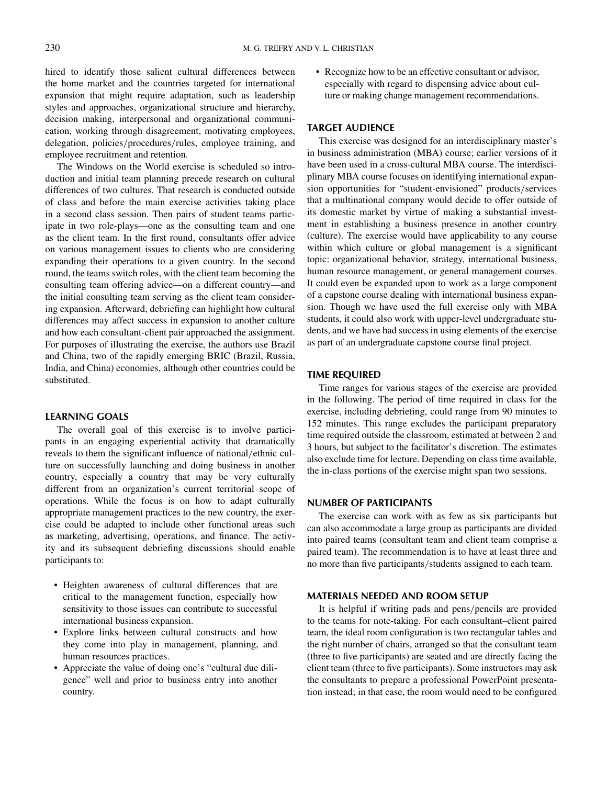hired to identify those salient cultural differences between the home market and the countries targeted for international expansion that might require adaptation, such as leadership styles and approaches, organizational structure and hierarchy, decision making, interpersonal and organizational communication, working through disagreement, motivating employees, delegation, policies*/*procedures*/*rules, employee training, and employee recruitment and retention.

The Windows on the World exercise is scheduled so introduction and initial team planning precede research on cultural differences of two cultures. That research is conducted outside of class and before the main exercise activities taking place in a second class session. Then pairs of student teams participate in two role-plays—one as the consulting team and one as the client team. In the first round, consultants offer advice on various management issues to clients who are considering expanding their operations to a given country. In the second round, the teams switch roles, with the client team becoming the consulting team offering advice—on a different country—and the initial consulting team serving as the client team considering expansion. Afterward, debriefing can highlight how cultural differences may affect success in expansion to another culture and how each consultant-client pair approached the assignment. For purposes of illustrating the exercise, the authors use Brazil and China, two of the rapidly emerging BRIC (Brazil, Russia, India, and China) economies, although other countries could be substituted.

#### **LEARNING GOALS**

The overall goal of this exercise is to involve participants in an engaging experiential activity that dramatically reveals to them the significant influence of national*/*ethnic culture on successfully launching and doing business in another country, especially a country that may be very culturally different from an organization's current territorial scope of operations. While the focus is on how to adapt culturally appropriate management practices to the new country, the exercise could be adapted to include other functional areas such as marketing, advertising, operations, and finance. The activity and its subsequent debriefing discussions should enable participants to:

- Heighten awareness of cultural differences that are critical to the management function, especially how sensitivity to those issues can contribute to successful international business expansion.
- Explore links between cultural constructs and how they come into play in management, planning, and human resources practices.
- Appreciate the value of doing one's "cultural due diligence" well and prior to business entry into another country.

• Recognize how to be an effective consultant or advisor, especially with regard to dispensing advice about culture or making change management recommendations.

#### **TARGET AUDIENCE**

This exercise was designed for an interdisciplinary master's in business administration (MBA) course; earlier versions of it have been used in a cross-cultural MBA course. The interdisciplinary MBA course focuses on identifying international expansion opportunities for "student-envisioned" products*/*services that a multinational company would decide to offer outside of its domestic market by virtue of making a substantial investment in establishing a business presence in another country (culture). The exercise would have applicability to any course within which culture or global management is a significant topic: organizational behavior, strategy, international business, human resource management, or general management courses. It could even be expanded upon to work as a large component of a capstone course dealing with international business expansion. Though we have used the full exercise only with MBA students, it could also work with upper-level undergraduate students, and we have had success in using elements of the exercise as part of an undergraduate capstone course final project.

## **TIME REQUIRED**

Time ranges for various stages of the exercise are provided in the following. The period of time required in class for the exercise, including debriefing, could range from 90 minutes to 152 minutes. This range excludes the participant preparatory time required outside the classroom, estimated at between 2 and 3 hours, but subject to the facilitator's discretion. The estimates also exclude time for lecture. Depending on class time available, the in-class portions of the exercise might span two sessions.

#### **NUMBER OF PARTICIPANTS**

The exercise can work with as few as six participants but can also accommodate a large group as participants are divided into paired teams (consultant team and client team comprise a paired team). The recommendation is to have at least three and no more than five participants*/*students assigned to each team.

#### **MATERIALS NEEDED AND ROOM SETUP**

It is helpful if writing pads and pens*/*pencils are provided to the teams for note-taking. For each consultant–client paired team, the ideal room configuration is two rectangular tables and the right number of chairs, arranged so that the consultant team (three to five participants) are seated and are directly facing the client team (three to five participants). Some instructors may ask the consultants to prepare a professional PowerPoint presentation instead; in that case, the room would need to be configured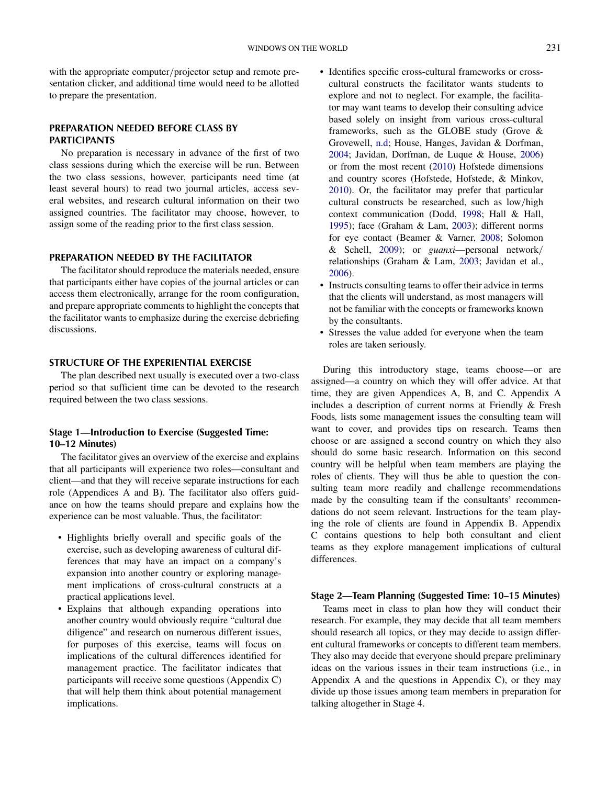with the appropriate computer*/*projector setup and remote presentation clicker, and additional time would need to be allotted to prepare the presentation.

## **PREPARATION NEEDED BEFORE CLASS BY PARTICIPANTS**

No preparation is necessary in advance of the first of two class sessions during which the exercise will be run. Between the two class sessions, however, participants need time (at least several hours) to read two journal articles, access several websites, and research cultural information on their two assigned countries. The facilitator may choose, however, to assign some of the reading prior to the first class session.

## **PREPARATION NEEDED BY THE FACILITATOR**

The facilitator should reproduce the materials needed, ensure that participants either have copies of the journal articles or can access them electronically, arrange for the room configuration, and prepare appropriate comments to highlight the concepts that the facilitator wants to emphasize during the exercise debriefing discussions.

#### **STRUCTURE OF THE EXPERIENTIAL EXERCISE**

The plan described next usually is executed over a two-class period so that sufficient time can be devoted to the research required between the two class sessions.

## **Stage 1—Introduction to Exercise (Suggested Time: 10–12 Minutes)**

The facilitator gives an overview of the exercise and explains that all participants will experience two roles—consultant and client—and that they will receive separate instructions for each role (Appendices A and B). The facilitator also offers guidance on how the teams should prepare and explains how the experience can be most valuable. Thus, the facilitator:

- Highlights briefly overall and specific goals of the exercise, such as developing awareness of cultural differences that may have an impact on a company's expansion into another country or exploring management implications of cross-cultural constructs at a practical applications level.
- Explains that although expanding operations into another country would obviously require "cultural due diligence" and research on numerous different issues, for purposes of this exercise, teams will focus on implications of the cultural differences identified for management practice. The facilitator indicates that participants will receive some questions (Appendix C) that will help them think about potential management implications.
- Identifies specific cross-cultural frameworks or crosscultural constructs the facilitator wants students to explore and not to neglect. For example, the facilitator may want teams to develop their consulting advice based solely on insight from various cross-cultural frameworks, such as the GLOBE study (Grove & Grovewell, [n.d;](#page-10-17) House, Hanges, Javidan & Dorfman, [2004;](#page-10-18) Javidan, Dorfman, de Luque & House, [2006\)](#page-10-19) or from the most recent [\(2010\)](#page-10-2) Hofstede dimensions and country scores (Hofstede, Hofstede, & Minkov, [2010\)](#page-10-2). Or, the facilitator may prefer that particular cultural constructs be researched, such as low*/*high context communication (Dodd, [1998;](#page-10-20) Hall & Hall, [1995\)](#page-10-21); face (Graham & Lam, [2003\)](#page-10-22); different norms for eye contact (Beamer & Varner, [2008;](#page-10-23) Solomon & Schell, [2009\)](#page-10-10); or *guanxi*—personal network*/* relationships (Graham & Lam, [2003;](#page-10-22) Javidan et al., [2006\)](#page-10-19).
- Instructs consulting teams to offer their advice in terms that the clients will understand, as most managers will not be familiar with the concepts or frameworks known by the consultants.
- Stresses the value added for everyone when the team roles are taken seriously.

During this introductory stage, teams choose—or are assigned—a country on which they will offer advice. At that time, they are given Appendices A, B, and C. Appendix A includes a description of current norms at Friendly & Fresh Foods*,* lists some management issues the consulting team will want to cover, and provides tips on research. Teams then choose or are assigned a second country on which they also should do some basic research. Information on this second country will be helpful when team members are playing the roles of clients. They will thus be able to question the consulting team more readily and challenge recommendations made by the consulting team if the consultants' recommendations do not seem relevant. Instructions for the team playing the role of clients are found in Appendix B. Appendix C contains questions to help both consultant and client teams as they explore management implications of cultural differences.

#### **Stage 2—Team Planning (Suggested Time: 10–15 Minutes)**

Teams meet in class to plan how they will conduct their research. For example, they may decide that all team members should research all topics, or they may decide to assign different cultural frameworks or concepts to different team members. They also may decide that everyone should prepare preliminary ideas on the various issues in their team instructions (i.e., in Appendix A and the questions in Appendix C), or they may divide up those issues among team members in preparation for talking altogether in Stage 4.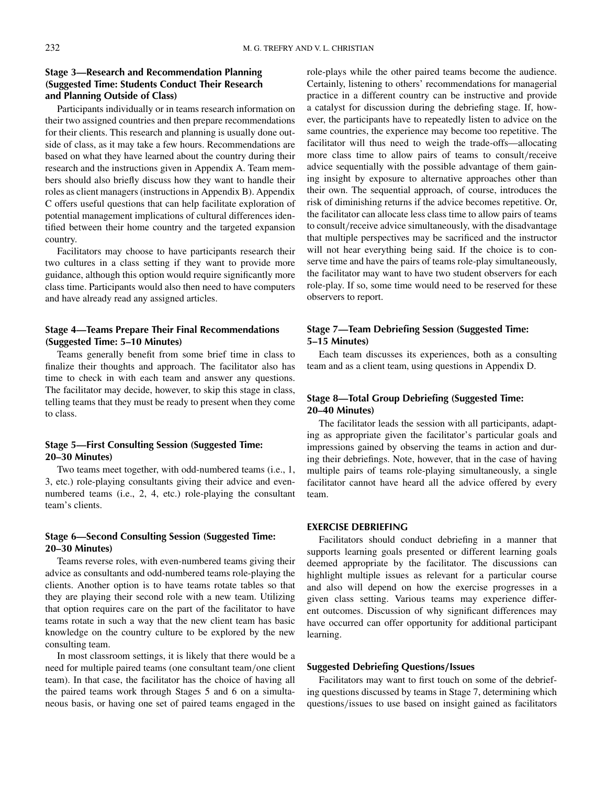## **Stage 3—Research and Recommendation Planning (Suggested Time: Students Conduct Their Research and Planning Outside of Class)**

Participants individually or in teams research information on their two assigned countries and then prepare recommendations for their clients. This research and planning is usually done outside of class, as it may take a few hours. Recommendations are based on what they have learned about the country during their research and the instructions given in Appendix A. Team members should also briefly discuss how they want to handle their roles as client managers (instructions in Appendix B). Appendix C offers useful questions that can help facilitate exploration of potential management implications of cultural differences identified between their home country and the targeted expansion country.

Facilitators may choose to have participants research their two cultures in a class setting if they want to provide more guidance, although this option would require significantly more class time. Participants would also then need to have computers and have already read any assigned articles.

## **Stage 4—Teams Prepare Their Final Recommendations (Suggested Time: 5–10 Minutes)**

Teams generally benefit from some brief time in class to finalize their thoughts and approach. The facilitator also has time to check in with each team and answer any questions. The facilitator may decide, however, to skip this stage in class, telling teams that they must be ready to present when they come to class.

## **Stage 5—First Consulting Session (Suggested Time: 20–30 Minutes)**

Two teams meet together, with odd-numbered teams (i.e., 1, 3, etc.) role-playing consultants giving their advice and evennumbered teams (i.e., 2, 4, etc.) role-playing the consultant team's clients.

## **Stage 6—Second Consulting Session (Suggested Time: 20–30 Minutes)**

Teams reverse roles, with even-numbered teams giving their advice as consultants and odd-numbered teams role-playing the clients. Another option is to have teams rotate tables so that they are playing their second role with a new team. Utilizing that option requires care on the part of the facilitator to have teams rotate in such a way that the new client team has basic knowledge on the country culture to be explored by the new consulting team.

In most classroom settings, it is likely that there would be a need for multiple paired teams (one consultant team*/*one client team). In that case, the facilitator has the choice of having all the paired teams work through Stages 5 and 6 on a simultaneous basis, or having one set of paired teams engaged in the

role-plays while the other paired teams become the audience. Certainly, listening to others' recommendations for managerial practice in a different country can be instructive and provide a catalyst for discussion during the debriefing stage. If, however, the participants have to repeatedly listen to advice on the same countries, the experience may become too repetitive. The facilitator will thus need to weigh the trade-offs—allocating more class time to allow pairs of teams to consult*/*receive advice sequentially with the possible advantage of them gaining insight by exposure to alternative approaches other than their own. The sequential approach, of course, introduces the risk of diminishing returns if the advice becomes repetitive. Or, the facilitator can allocate less class time to allow pairs of teams to consult*/*receive advice simultaneously, with the disadvantage that multiple perspectives may be sacrificed and the instructor will not hear everything being said. If the choice is to conserve time and have the pairs of teams role-play simultaneously, the facilitator may want to have two student observers for each role-play. If so, some time would need to be reserved for these observers to report.

## **Stage 7—Team Debriefing Session (Suggested Time: 5–15 Minutes)**

Each team discusses its experiences, both as a consulting team and as a client team, using questions in Appendix D.

## **Stage 8—Total Group Debriefing (Suggested Time: 20–40 Minutes)**

The facilitator leads the session with all participants, adapting as appropriate given the facilitator's particular goals and impressions gained by observing the teams in action and during their debriefings. Note, however, that in the case of having multiple pairs of teams role-playing simultaneously, a single facilitator cannot have heard all the advice offered by every team.

#### **EXERCISE DEBRIEFING**

Facilitators should conduct debriefing in a manner that supports learning goals presented or different learning goals deemed appropriate by the facilitator. The discussions can highlight multiple issues as relevant for a particular course and also will depend on how the exercise progresses in a given class setting. Various teams may experience different outcomes. Discussion of why significant differences may have occurred can offer opportunity for additional participant learning.

#### **Suggested Debriefing Questions***/***Issues**

Facilitators may want to first touch on some of the debriefing questions discussed by teams in Stage 7, determining which questions*/*issues to use based on insight gained as facilitators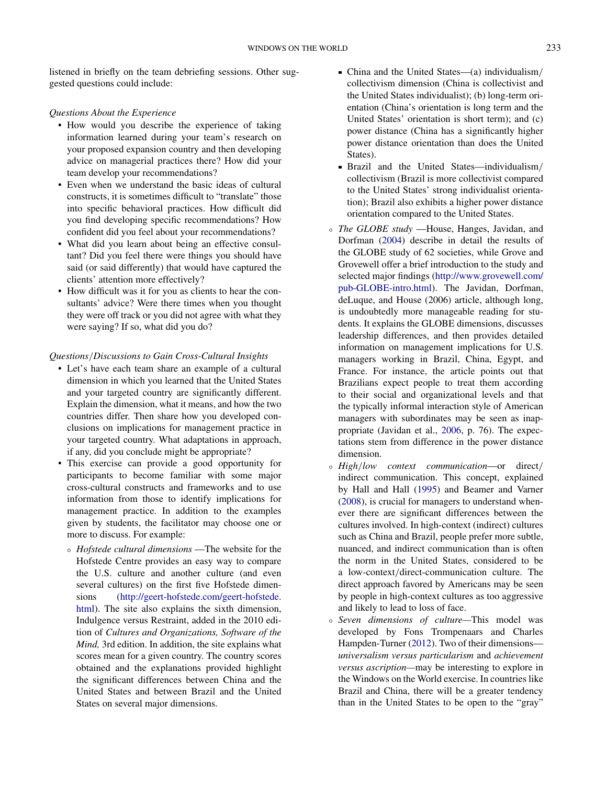listened in briefly on the team debriefing sessions. Other suggested questions could include:

#### *Questions About the Experience*

- How would you describe the experience of taking information learned during your team's research on your proposed expansion country and then developing advice on managerial practices there? How did your team develop your recommendations?
- Even when we understand the basic ideas of cultural constructs, it is sometimes difficult to "translate" those into specific behavioral practices. How difficult did you find developing specific recommendations? How confident did you feel about your recommendations?
- What did you learn about being an effective consultant? Did you feel there were things you should have said (or said differently) that would have captured the clients' attention more effectively?
- How difficult was it for you as clients to hear the consultants' advice? Were there times when you thought they were off track or you did not agree with what they were saying? If so, what did you do?

#### *Questions/Discussions to Gain Cross-Cultural Insights*

- Let's have each team share an example of a cultural dimension in which you learned that the United States and your targeted country are significantly different. Explain the dimension, what it means, and how the two countries differ. Then share how you developed conclusions on implications for management practice in your targeted country. What adaptations in approach, if any, did you conclude might be appropriate?
- This exercise can provide a good opportunity for participants to become familiar with some major cross-cultural constructs and frameworks and to use information from those to identify implications for management practice. In addition to the examples given by students, the facilitator may choose one or more to discuss. For example:
	- *Hofstede cultural dimensions* —The website for the Hofstede Centre provides an easy way to compare the U.S. culture and another culture (and even several cultures) on the first five Hofstede dimensions (http://geert-hofstede.com/geert-hofstede. html). The site also explains the sixth dimension, Indulgence versus Restraint, added in the 2010 edition of *Cultures and Organizations, Software of the Mind,* 3rd edition. In addition, the site explains what scores mean for a given country. The country scores obtained and the explanations provided highlight the significant differences between China and the United States and between Brazil and the United States on several major dimensions.
- China and the United States—(a) individualism*/* collectivism dimension (China is collectivist and the United States individualist); (b) long-term orientation (China's orientation is long term and the United States' orientation is short term); and (c) power distance (China has a significantly higher power distance orientation than does the United States).
- Brazil and the United States—individualism*/* collectivism (Brazil is more collectivist compared to the United States' strong individualist orientation); Brazil also exhibits a higher power distance orientation compared to the United States.
- *The GLOBE study* —House, Hanges, Javidan, and Dorfman [\(2004\)](#page-10-18) describe in detail the results of the GLOBE study of 62 societies, while Grove and Grovewell offer a brief introduction to the study and selected major findings (http://www.grovewell.com/ pub-GLOBE-intro.html). The Javidan, Dorfman, deLuque, and House (2006) article, although long, is undoubtedly more manageable reading for students. It explains the GLOBE dimensions, discusses leadership differences, and then provides detailed information on management implications for U.S. managers working in Brazil, China, Egypt, and France. For instance, the article points out that Brazilians expect people to treat them according to their social and organizational levels and that the typically informal interaction style of American managers with subordinates may be seen as inappropriate (Javidan et al., [2006,](#page-10-19) p. 76). The expectations stem from difference in the power distance dimension.
- *High/low context communication*—or direct*/* indirect communication. This concept, explained by Hall and Hall [\(1995\)](#page-10-21) and Beamer and Varner [\(2008\)](#page-10-23), is crucial for managers to understand whenever there are significant differences between the cultures involved. In high-context (indirect) cultures such as China and Brazil, people prefer more subtle, nuanced, and indirect communication than is often the norm in the United States, considered to be a low-context*/*direct-communication culture. The direct approach favored by Americans may be seen by people in high-context cultures as too aggressive and likely to lead to loss of face.
- *Seven dimensions of culture—*This model was developed by Fons Trompenaars and Charles Hampden-Turner [\(2012\)](#page-10-24). Two of their dimensions *universalism versus particularism* and *achievement versus ascription—*may be interesting to explore in the Windows on the World exercise. In countries like Brazil and China, there will be a greater tendency than in the United States to be open to the "gray"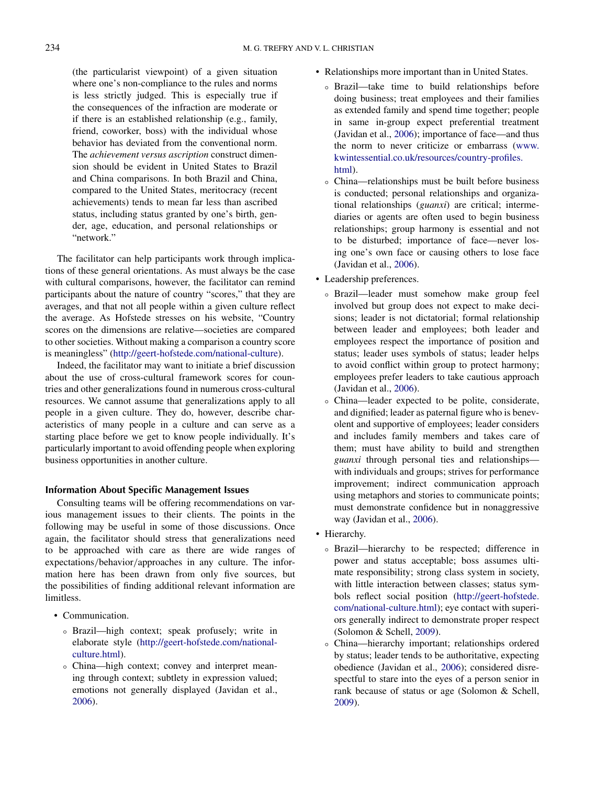(the particularist viewpoint) of a given situation where one's non-compliance to the rules and norms is less strictly judged. This is especially true if the consequences of the infraction are moderate or if there is an established relationship (e.g., family, friend, coworker, boss) with the individual whose behavior has deviated from the conventional norm. The *achievement versus ascription* construct dimension should be evident in United States to Brazil and China comparisons. In both Brazil and China, compared to the United States, meritocracy (recent achievements) tends to mean far less than ascribed status, including status granted by one's birth, gender, age, education, and personal relationships or "network."

The facilitator can help participants work through implications of these general orientations. As must always be the case with cultural comparisons, however, the facilitator can remind participants about the nature of country "scores," that they are averages, and that not all people within a given culture reflect the average. As Hofstede stresses on his website, "Country scores on the dimensions are relative—societies are compared to other societies. Without making a comparison a country score is meaningless" [\(http://geert-hofstede.com/national-culture\).](http://geert-hofstede.com/national-culture)

Indeed, the facilitator may want to initiate a brief discussion about the use of cross-cultural framework scores for countries and other generalizations found in numerous cross-cultural resources. We cannot assume that generalizations apply to all people in a given culture. They do, however, describe characteristics of many people in a culture and can serve as a starting place before we get to know people individually. It's particularly important to avoid offending people when exploring business opportunities in another culture.

#### **Information About Specific Management Issues**

Consulting teams will be offering recommendations on various management issues to their clients. The points in the following may be useful in some of those discussions. Once again, the facilitator should stress that generalizations need to be approached with care as there are wide ranges of expectations*/*behavior*/*approaches in any culture. The information here has been drawn from only five sources, but the possibilities of finding additional relevant information are limitless.

- Communication.
	- Brazil—high context; speak profusely; write in elaborate style (http://geert-hofstede.com/nationalculture.html).
	- China—high context; convey and interpret meaning through context; subtlety in expression valued; emotions not generally displayed (Javidan et al., [2006\)](#page-10-19).
- Relationships more important than in United States.
	- Brazil—take time to build relationships before doing business; treat employees and their families as extended family and spend time together; people in same in-group expect preferential treatment (Javidan et al., [2006\)](#page-10-19); importance of face—and thus the norm to never criticize or embarrass (www. kwintessential.co.uk/resources/country-profiles. html).
	- China—relationships must be built before business is conducted; personal relationships and organizational relationships (*guanxi*) are critical; intermediaries or agents are often used to begin business relationships; group harmony is essential and not to be disturbed; importance of face—never losing one's own face or causing others to lose face (Javidan et al., [2006\)](#page-10-19).
- Leadership preferences.
	- Brazil—leader must somehow make group feel involved but group does not expect to make decisions; leader is not dictatorial; formal relationship between leader and employees; both leader and employees respect the importance of position and status; leader uses symbols of status; leader helps to avoid conflict within group to protect harmony; employees prefer leaders to take cautious approach (Javidan et al., [2006\)](#page-10-19).
	- China—leader expected to be polite, considerate, and dignified; leader as paternal figure who is benevolent and supportive of employees; leader considers and includes family members and takes care of them; must have ability to build and strengthen *guanxi* through personal ties and relationships with individuals and groups; strives for performance improvement; indirect communication approach using metaphors and stories to communicate points; must demonstrate confidence but in nonaggressive way (Javidan et al., [2006\)](#page-10-19).
- Hierarchy.
	- Brazil—hierarchy to be respected; difference in power and status acceptable; boss assumes ultimate responsibility; strong class system in society, with little interaction between classes; status symbols reflect social position (http://geert-hofstede. com/national-culture.html); eye contact with superiors generally indirect to demonstrate proper respect (Solomon & Schell, [2009\)](#page-10-10).
	- China—hierarchy important; relationships ordered by status; leader tends to be authoritative, expecting obedience (Javidan et al., [2006\)](#page-10-19); considered disrespectful to stare into the eyes of a person senior in rank because of status or age (Solomon & Schell, [2009\)](#page-10-10).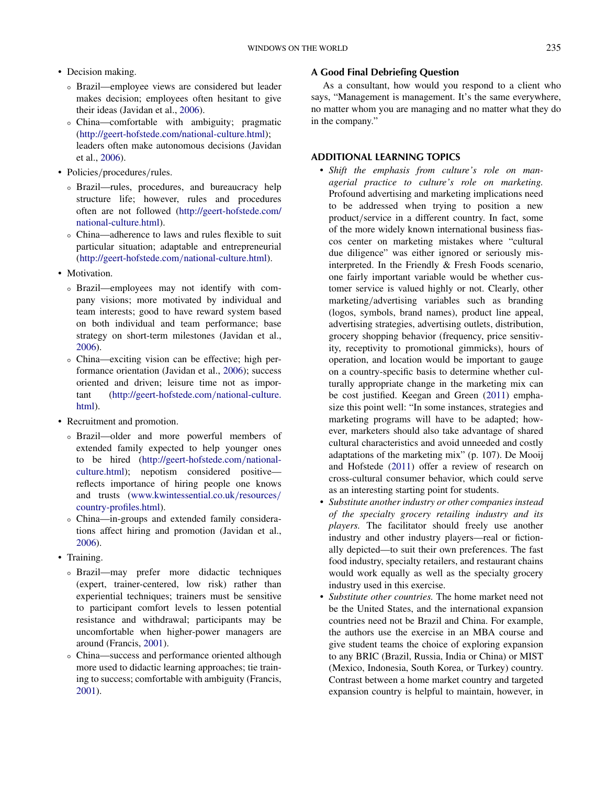- Decision making.
	- Brazil—employee views are considered but leader makes decision; employees often hesitant to give their ideas (Javidan et al., [2006\)](#page-10-19).
	- China—comfortable with ambiguity; pragmatic (http://geert-hofstede.com/national-culture.html); leaders often make autonomous decisions (Javidan et al., [2006\)](#page-10-19).
- Policies*/*procedures*/*rules.
	- Brazil—rules, procedures, and bureaucracy help structure life; however, rules and procedures often are not followed (http://geert-hofstede.com/ national-culture.html).
	- China—adherence to laws and rules flexible to suit particular situation; adaptable and entrepreneurial [\(http://geert-hofstede.com](http://geert-hofstede.com/national-culture.html)*/*national-culture.html).
- Motivation.
	- Brazil—employees may not identify with company visions; more motivated by individual and team interests; good to have reward system based on both individual and team performance; base strategy on short-term milestones (Javidan et al., [2006\)](#page-10-19).
	- China—exciting vision can be effective; high performance orientation (Javidan et al., [2006\)](#page-10-19); success oriented and driven; leisure time not as important [\(http://geert-hofstede.com](http://geert-hofstede.com/national-culture)*/*national-culture. html).
- Recruitment and promotion.
	- Brazil—older and more powerful members of extended family expected to help younger ones to be hired (http://geert-hofstede.com*/*nationalculture.html); nepotism considered positive reflects importance of hiring people one knows and trusts (www.kwintessential.co.uk*/*resources*/* country-profiles.html).
	- China—in-groups and extended family considerations affect hiring and promotion (Javidan et al., [2006\)](#page-10-19).
- Training.
	- Brazil—may prefer more didactic techniques (expert, trainer-centered, low risk) rather than experiential techniques; trainers must be sensitive to participant comfort levels to lessen potential resistance and withdrawal; participants may be uncomfortable when higher-power managers are around (Francis, [2001\)](#page-10-25).
	- China—success and performance oriented although more used to didactic learning approaches; tie training to success; comfortable with ambiguity (Francis, [2001\)](#page-10-25).

#### **A Good Final Debriefing Question**

As a consultant, how would you respond to a client who says, "Management is management. It's the same everywhere, no matter whom you are managing and no matter what they do in the company."

## **ADDITIONAL LEARNING TOPICS**

- *Shift the emphasis from culture's role on managerial practice to culture's role on marketing.* Profound advertising and marketing implications need to be addressed when trying to position a new product*/*service in a different country. In fact, some of the more widely known international business fiascos center on marketing mistakes where "cultural due diligence" was either ignored or seriously misinterpreted. In the Friendly & Fresh Foods scenario, one fairly important variable would be whether customer service is valued highly or not. Clearly, other marketing*/*advertising variables such as branding (logos, symbols, brand names), product line appeal, advertising strategies, advertising outlets, distribution, grocery shopping behavior (frequency, price sensitivity, receptivity to promotional gimmicks), hours of operation, and location would be important to gauge on a country-specific basis to determine whether culturally appropriate change in the marketing mix can be cost justified. Keegan and Green [\(2011\)](#page-10-26) emphasize this point well: "In some instances, strategies and marketing programs will have to be adapted; however, marketers should also take advantage of shared cultural characteristics and avoid unneeded and costly adaptations of the marketing mix" (p. 107). De Mooij and Hofstede [\(2011\)](#page-10-27) offer a review of research on cross-cultural consumer behavior, which could serve as an interesting starting point for students.
- *Substitute another industry or other companies instead of the specialty grocery retailing industry and its players.* The facilitator should freely use another industry and other industry players—real or fictionally depicted—to suit their own preferences. The fast food industry, specialty retailers, and restaurant chains would work equally as well as the specialty grocery industry used in this exercise.
- *Substitute other countries.* The home market need not be the United States, and the international expansion countries need not be Brazil and China. For example, the authors use the exercise in an MBA course and give student teams the choice of exploring expansion to any BRIC (Brazil, Russia, India or China) or MIST (Mexico, Indonesia, South Korea, or Turkey) country. Contrast between a home market country and targeted expansion country is helpful to maintain, however, in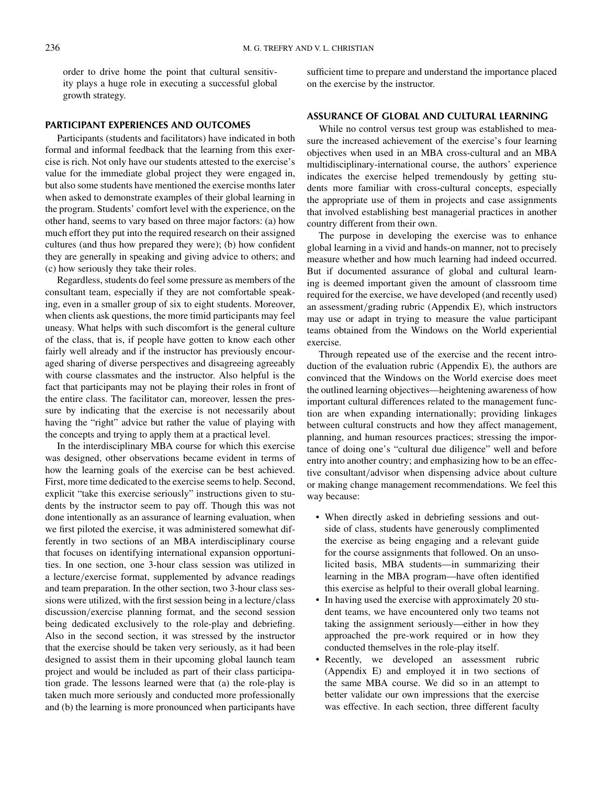order to drive home the point that cultural sensitivity plays a huge role in executing a successful global growth strategy.

#### **PARTICIPANT EXPERIENCES AND OUTCOMES**

Participants (students and facilitators) have indicated in both formal and informal feedback that the learning from this exercise is rich. Not only have our students attested to the exercise's value for the immediate global project they were engaged in, but also some students have mentioned the exercise months later when asked to demonstrate examples of their global learning in the program. Students' comfort level with the experience, on the other hand, seems to vary based on three major factors: (a) how much effort they put into the required research on their assigned cultures (and thus how prepared they were); (b) how confident they are generally in speaking and giving advice to others; and (c) how seriously they take their roles.

Regardless, students do feel some pressure as members of the consultant team, especially if they are not comfortable speaking, even in a smaller group of six to eight students. Moreover, when clients ask questions, the more timid participants may feel uneasy. What helps with such discomfort is the general culture of the class, that is, if people have gotten to know each other fairly well already and if the instructor has previously encouraged sharing of diverse perspectives and disagreeing agreeably with course classmates and the instructor. Also helpful is the fact that participants may not be playing their roles in front of the entire class. The facilitator can, moreover, lessen the pressure by indicating that the exercise is not necessarily about having the "right" advice but rather the value of playing with the concepts and trying to apply them at a practical level.

In the interdisciplinary MBA course for which this exercise was designed, other observations became evident in terms of how the learning goals of the exercise can be best achieved. First, more time dedicated to the exercise seems to help. Second, explicit "take this exercise seriously" instructions given to students by the instructor seem to pay off. Though this was not done intentionally as an assurance of learning evaluation, when we first piloted the exercise, it was administered somewhat differently in two sections of an MBA interdisciplinary course that focuses on identifying international expansion opportunities. In one section, one 3-hour class session was utilized in a lecture*/*exercise format, supplemented by advance readings and team preparation. In the other section, two 3-hour class sessions were utilized, with the first session being in a lecture*/*class discussion*/*exercise planning format, and the second session being dedicated exclusively to the role-play and debriefing. Also in the second section, it was stressed by the instructor that the exercise should be taken very seriously, as it had been designed to assist them in their upcoming global launch team project and would be included as part of their class participation grade. The lessons learned were that (a) the role-play is taken much more seriously and conducted more professionally and (b) the learning is more pronounced when participants have sufficient time to prepare and understand the importance placed on the exercise by the instructor.

#### **ASSURANCE OF GLOBAL AND CULTURAL LEARNING**

While no control versus test group was established to measure the increased achievement of the exercise's four learning objectives when used in an MBA cross-cultural and an MBA multidisciplinary-international course, the authors' experience indicates the exercise helped tremendously by getting students more familiar with cross-cultural concepts, especially the appropriate use of them in projects and case assignments that involved establishing best managerial practices in another country different from their own.

The purpose in developing the exercise was to enhance global learning in a vivid and hands-on manner, not to precisely measure whether and how much learning had indeed occurred. But if documented assurance of global and cultural learning is deemed important given the amount of classroom time required for the exercise, we have developed (and recently used) an assessment*/*grading rubric (Appendix E), which instructors may use or adapt in trying to measure the value participant teams obtained from the Windows on the World experiential exercise.

Through repeated use of the exercise and the recent introduction of the evaluation rubric (Appendix E), the authors are convinced that the Windows on the World exercise does meet the outlined learning objectives—heightening awareness of how important cultural differences related to the management function are when expanding internationally; providing linkages between cultural constructs and how they affect management, planning, and human resources practices; stressing the importance of doing one's "cultural due diligence" well and before entry into another country; and emphasizing how to be an effective consultant*/*advisor when dispensing advice about culture or making change management recommendations. We feel this way because:

- When directly asked in debriefing sessions and outside of class, students have generously complimented the exercise as being engaging and a relevant guide for the course assignments that followed. On an unsolicited basis, MBA students—in summarizing their learning in the MBA program—have often identified this exercise as helpful to their overall global learning.
- In having used the exercise with approximately 20 student teams, we have encountered only two teams not taking the assignment seriously—either in how they approached the pre-work required or in how they conducted themselves in the role-play itself.
- Recently, we developed an assessment rubric (Appendix E) and employed it in two sections of the same MBA course. We did so in an attempt to better validate our own impressions that the exercise was effective. In each section, three different faculty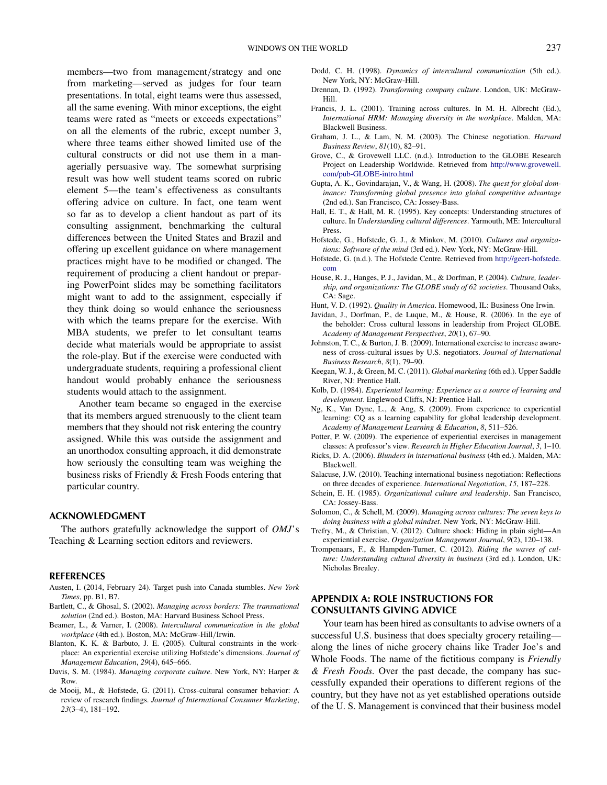members—two from management*/*strategy and one from marketing—served as judges for four team presentations. In total, eight teams were thus assessed, all the same evening. With minor exceptions, the eight teams were rated as "meets or exceeds expectations" on all the elements of the rubric, except number 3, where three teams either showed limited use of the cultural constructs or did not use them in a managerially persuasive way. The somewhat surprising result was how well student teams scored on rubric element 5—the team's effectiveness as consultants offering advice on culture. In fact, one team went so far as to develop a client handout as part of its consulting assignment, benchmarking the cultural differences between the United States and Brazil and offering up excellent guidance on where management practices might have to be modified or changed. The requirement of producing a client handout or preparing PowerPoint slides may be something facilitators might want to add to the assignment, especially if they think doing so would enhance the seriousness with which the teams prepare for the exercise. With MBA students, we prefer to let consultant teams decide what materials would be appropriate to assist the role-play. But if the exercise were conducted with undergraduate students, requiring a professional client handout would probably enhance the seriousness students would attach to the assignment.

Another team became so engaged in the exercise that its members argued strenuously to the client team members that they should not risk entering the country assigned. While this was outside the assignment and an unorthodox consulting approach, it did demonstrate how seriously the consulting team was weighing the business risks of Friendly & Fresh Foods entering that particular country.

#### **ACKNOWLEDGMENT**

The authors gratefully acknowledge the support of *OMJ*'s Teaching & Learning section editors and reviewers.

#### **REFERENCES**

- <span id="page-10-0"></span>Austen, I. (2014, February 24). Target push into Canada stumbles. *New York Times*, pp. B1, B7.
- <span id="page-10-9"></span>Bartlett, C., & Ghosal, S. (2002). *Managing across borders: The transnational solution* (2nd ed.). Boston, MA: Harvard Business School Press.
- <span id="page-10-23"></span>Beamer, L., & Varner, I. (2008). *Intercultural communication in the global workplace* (4th ed.). Boston, MA: McGraw-Hill*/*Irwin.
- <span id="page-10-15"></span>Blanton, K. K. & Barbuto, J. E. (2005). Cultural constraints in the workplace: An experiential exercise utilizing Hofstede's dimensions. *Journal of Management Education*, *29*(4), 645–666.
- <span id="page-10-3"></span>Davis, S. M. (1984). *Managing corporate culture*. New York, NY: Harper & Row.
- <span id="page-10-27"></span>de Mooij, M., & Hofstede, G. (2011). Cross-cultural consumer behavior: A review of research findings. *Journal of International Consumer Marketing*, *23*(3–4), 181–192.
- <span id="page-10-20"></span>Dodd, C. H. (1998). *Dynamics of intercultural communication* (5th ed.). New York, NY: McGraw-Hill.
- <span id="page-10-1"></span>Drennan, D. (1992). *Transforming company culture*. London, UK: McGraw-Hill.
- <span id="page-10-25"></span>Francis, J. L. (2001). Training across cultures. In M. H. Albrecht (Ed.), *International HRM: Managing diversity in the workplace*. Malden, MA: Blackwell Business.
- <span id="page-10-22"></span>Graham, J. L., & Lam, N. M. (2003). The Chinese negotiation. *Harvard Business Review*, *81*(10), 82–91.
- <span id="page-10-17"></span>Grove, C., & Grovewell LLC. (n.d.). Introduction to the GLOBE Research Project on Leadership Worldwide. Retrieved from [http://www.grovewell.](http://www.grovewell.com/pub-GLOBE-intro.html) [com/pub-GLOBE-intro.html](http://www.grovewell.com/pub-GLOBE-intro.html)
- <span id="page-10-8"></span>Gupta, A. K., Govindarajan, V., & Wang, H. (2008). *The quest for global dominance: Transforming global presence into global competitive advantage* (2nd ed.). San Francisco, CA: Jossey-Bass.
- <span id="page-10-21"></span>Hall, E. T., & Hall, M. R. (1995). Key concepts: Understanding structures of culture. In *Understanding cultural differences*. Yarmouth, ME: Intercultural Press.
- <span id="page-10-2"></span>Hofstede, G., Hofstede, G. J., & Minkov, M. (2010). *Cultures and organizations: Software of the mind* (3rd ed.). New York, NY: McGraw-Hill.
- Hofstede, G. (n.d.). The Hofstede Centre. Retrieved from [http://geert-hofstede.](http://geert-hofstede.com) [com](http://geert-hofstede.com)
- <span id="page-10-18"></span>House, R. J., Hanges, P. J., Javidan, M., & Dorfman, P. (2004). *Culture, leadership, and organizations: The GLOBE study of 62 societies*. Thousand Oaks, CA: Sage.
- <span id="page-10-5"></span>Hunt, V. D. (1992). *Quality in America*. Homewood, IL: Business One Irwin.
- <span id="page-10-19"></span>Javidan, J., Dorfman, P., de Luque, M., & House, R. (2006). In the eye of the beholder: Cross cultural lessons in leadership from Project GLOBE. *Academy of Management Perspectives*, *20*(1), 67–90.
- <span id="page-10-14"></span>Johnston, T. C., & Burton, J. B. (2009). International exercise to increase awareness of cross-cultural issues by U.S. negotiators. *Journal of International Business Research*, *8*(1), 79–90.
- <span id="page-10-26"></span>Keegan, W. J., & Green, M. C. (2011). *Global marketing* (6th ed.). Upper Saddle River, NJ: Prentice Hall.
- <span id="page-10-11"></span>Kolb, D. (1984). *Experiental learning: Experience as a source of learning and development*. Englewood Cliffs, NJ: Prentice Hall.
- <span id="page-10-12"></span>Ng, K., Van Dyne, L., & Ang, S. (2009). From experience to experiential learning: CQ as a learning capability for global leadership development. *Academy of Management Learning & Education*, *8*, 511–526.
- <span id="page-10-13"></span>Potter, P. W. (2009). The experience of experiential exercises in management classes: A professor's view. *Research in Higher Education Journal*, *3*, 1–10.
- <span id="page-10-7"></span>Ricks, D. A. (2006). *Blunders in international business* (4th ed.). Malden, MA: Blackwell.
- <span id="page-10-16"></span>Salacuse, J.W. (2010). Teaching international business negotiation: Reflections on three decades of experience. *International Negotiation*, *15*, 187–228.
- <span id="page-10-4"></span>Schein, E. H. (1985). *Organizational culture and leadership*. San Francisco, CA: Jossey-Bass.
- <span id="page-10-10"></span>Solomon, C., & Schell, M. (2009). *Managing across cultures: The seven keys to doing business with a global mindset*. New York, NY: McGraw-Hill.
- <span id="page-10-6"></span>Trefry, M., & Christian, V. (2012). Culture shock: Hiding in plain sight—An experiential exercise. *Organization Management Journal*, *9*(2), 120–138.
- <span id="page-10-24"></span>Trompenaars, F., & Hampden-Turner, C. (2012). *Riding the waves of culture: Understanding cultural diversity in business* (3rd ed.). London, UK: Nicholas Brealey.

## **APPENDIX A: ROLE INSTRUCTIONS FOR CONSULTANTS GIVING ADVICE**

Your team has been hired as consultants to advise owners of a successful U.S. business that does specialty grocery retailing along the lines of niche grocery chains like Trader Joe's and Whole Foods. The name of the fictitious company is *Friendly & Fresh Foods.* Over the past decade, the company has successfully expanded their operations to different regions of the country, but they have not as yet established operations outside of the U. S. Management is convinced that their business model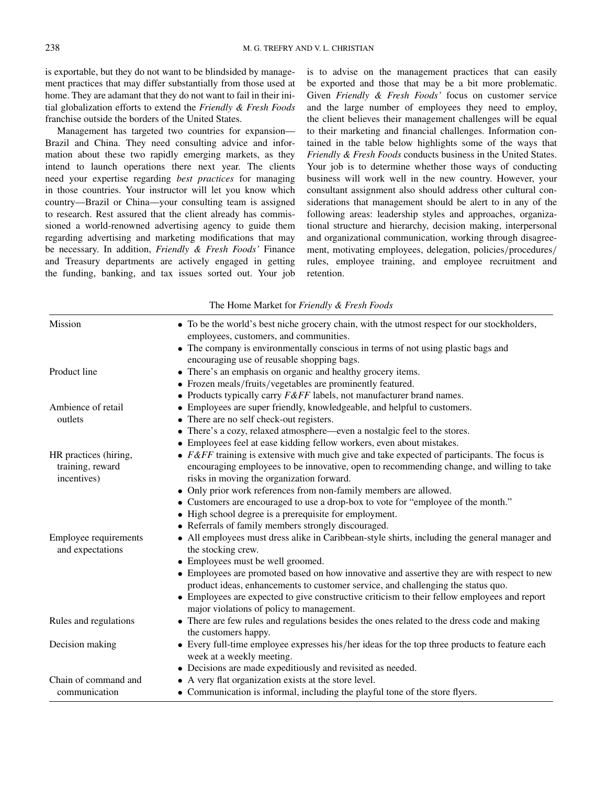is exportable, but they do not want to be blindsided by management practices that may differ substantially from those used at home. They are adamant that they do not want to fail in their initial globalization efforts to extend the *Friendly & Fresh Foods* franchise outside the borders of the United States.

Management has targeted two countries for expansion— Brazil and China. They need consulting advice and information about these two rapidly emerging markets, as they intend to launch operations there next year. The clients need your expertise regarding *best practices* for managing in those countries. Your instructor will let you know which country—Brazil or China—your consulting team is assigned to research. Rest assured that the client already has commissioned a world-renowned advertising agency to guide them regarding advertising and marketing modifications that may be necessary. In addition, *Friendly & Fresh Foods'* Finance and Treasury departments are actively engaged in getting the funding, banking, and tax issues sorted out. Your job

is to advise on the management practices that can easily be exported and those that may be a bit more problematic. Given *Friendly & Fresh Foods'* focus on customer service and the large number of employees they need to employ, the client believes their management challenges will be equal to their marketing and financial challenges. Information contained in the table below highlights some of the ways that *Friendly & Fresh Foods* conducts business in the United States. Your job is to determine whether those ways of conducting business will work well in the new country. However, your consultant assignment also should address other cultural considerations that management should be alert to in any of the following areas: leadership styles and approaches, organizational structure and hierarchy, decision making, interpersonal and organizational communication, working through disagreement, motivating employees, delegation, policies*/*procedures*/* rules, employee training, and employee recruitment and retention.

|                                           | $\alpha$ is troing to an $\alpha$ is the $\alpha$ is the state of $\alpha$ is the state of $\alpha$                                                                                       |
|-------------------------------------------|-------------------------------------------------------------------------------------------------------------------------------------------------------------------------------------------|
| Mission                                   | • To be the world's best niche grocery chain, with the utmost respect for our stockholders,<br>employees, customers, and communities.                                                     |
|                                           | • The company is environmentally conscious in terms of not using plastic bags and<br>encouraging use of reusable shopping bags.                                                           |
| Product line                              | • There's an emphasis on organic and healthy grocery items.                                                                                                                               |
|                                           | • Frozen meals/fruits/vegetables are prominently featured.                                                                                                                                |
|                                           | • Products typically carry $F\&FF$ labels, not manufacturer brand names.                                                                                                                  |
| Ambience of retail                        | • Employees are super friendly, knowledgeable, and helpful to customers.                                                                                                                  |
| outlets                                   | • There are no self check-out registers.                                                                                                                                                  |
|                                           | • There's a cozy, relaxed atmosphere—even a nostalgic feel to the stores.                                                                                                                 |
|                                           | • Employees feel at ease kidding fellow workers, even about mistakes.                                                                                                                     |
| HR practices (hiring,<br>training, reward | • $F\&F$ training is extensive with much give and take expected of participants. The focus is<br>encouraging employees to be innovative, open to recommending change, and willing to take |
| incentives)                               | risks in moving the organization forward.                                                                                                                                                 |
|                                           | • Only prior work references from non-family members are allowed.                                                                                                                         |
|                                           | • Customers are encouraged to use a drop-box to vote for "employee of the month."                                                                                                         |
|                                           | • High school degree is a prerequisite for employment.                                                                                                                                    |
|                                           | • Referrals of family members strongly discouraged.                                                                                                                                       |
| Employee requirements<br>and expectations | • All employees must dress alike in Caribbean-style shirts, including the general manager and<br>the stocking crew.                                                                       |
|                                           | • Employees must be well groomed.                                                                                                                                                         |
|                                           | • Employees are promoted based on how innovative and assertive they are with respect to new<br>product ideas, enhancements to customer service, and challenging the status quo.           |
|                                           | • Employees are expected to give constructive criticism to their fellow employees and report<br>major violations of policy to management.                                                 |
| Rules and regulations                     | • There are few rules and regulations besides the ones related to the dress code and making<br>the customers happy.                                                                       |
| Decision making                           | • Every full-time employee expresses his/her ideas for the top three products to feature each<br>week at a weekly meeting.                                                                |
|                                           | • Decisions are made expeditiously and revisited as needed.                                                                                                                               |
| Chain of command and                      | • A very flat organization exists at the store level.                                                                                                                                     |
| communication                             | • Communication is informal, including the playful tone of the store flyers.                                                                                                              |

## The Home Market for *Friendly & Fresh Foods*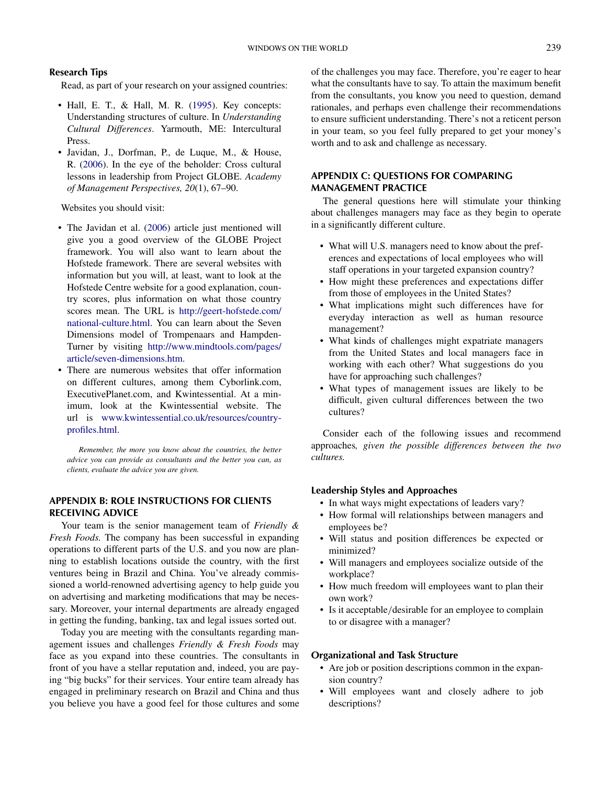#### **Research Tips**

Read, as part of your research on your assigned countries:

- Hall, E. T., & Hall, M. R. [\(1995\)](#page-10-21). Key concepts: Understanding structures of culture. In *Understanding Cultural Differences*. Yarmouth, ME: Intercultural Press.
- Javidan, J., Dorfman, P., de Luque, M., & House, R. [\(2006\)](#page-10-19). In the eye of the beholder: Cross cultural lessons in leadership from Project GLOBE. *Academy of Management Perspectives, 20*(1), 67–90.

Websites you should visit:

- The Javidan et al. [\(2006\)](#page-10-19) article just mentioned will give you a good overview of the GLOBE Project framework. You will also want to learn about the Hofstede framework. There are several websites with information but you will, at least, want to look at the Hofstede Centre website for a good explanation, country scores, plus information on what those country scores mean. The URL is [http://geert-hofstede.com/](http://geert-hofstede.com/national-culture.html) [national-culture.html.](http://geert-hofstede.com/national-culture.html) You can learn about the Seven Dimensions model of Trompenaars and Hampden-Turner by visiting [http://www.mindtools.com/pages/](http://www.mindtools.com/pages/article/seven-dimensions.htm) [article/seven-dimensions.htm.](http://www.mindtools.com/pages/article/seven-dimensions.htm)
- There are numerous websites that offer information on different cultures, among them Cyborlink.com, ExecutivePlanet.com, and Kwintessential. At a minimum, look at the Kwintessential website. The url is [www.kwintessential.co.uk/resources/country](www.kwintessential.co.uk/resources/country-profiles.html)[profiles.html.](www.kwintessential.co.uk/resources/country-profiles.html)

*Remember, the more you know about the countries, the better advice you can provide as consultants and the better you can, as clients, evaluate the advice you are given.*

## **APPENDIX B: ROLE INSTRUCTIONS FOR CLIENTS RECEIVING ADVICE**

Your team is the senior management team of *Friendly & Fresh Foods.* The company has been successful in expanding operations to different parts of the U.S. and you now are planning to establish locations outside the country, with the first ventures being in Brazil and China. You've already commissioned a world-renowned advertising agency to help guide you on advertising and marketing modifications that may be necessary. Moreover, your internal departments are already engaged in getting the funding, banking, tax and legal issues sorted out.

Today you are meeting with the consultants regarding management issues and challenges *Friendly & Fresh Foods* may face as you expand into these countries. The consultants in front of you have a stellar reputation and, indeed, you are paying "big bucks" for their services. Your entire team already has engaged in preliminary research on Brazil and China and thus you believe you have a good feel for those cultures and some of the challenges you may face. Therefore, you're eager to hear what the consultants have to say. To attain the maximum benefit from the consultants, you know you need to question, demand rationales, and perhaps even challenge their recommendations to ensure sufficient understanding. There's not a reticent person in your team, so you feel fully prepared to get your money's worth and to ask and challenge as necessary.

## **APPENDIX C: QUESTIONS FOR COMPARING MANAGEMENT PRACTICE**

The general questions here will stimulate your thinking about challenges managers may face as they begin to operate in a significantly different culture.

- What will U.S. managers need to know about the preferences and expectations of local employees who will staff operations in your targeted expansion country?
- How might these preferences and expectations differ from those of employees in the United States?
- What implications might such differences have for everyday interaction as well as human resource management?
- What kinds of challenges might expatriate managers from the United States and local managers face in working with each other? What suggestions do you have for approaching such challenges?
- What types of management issues are likely to be difficult, given cultural differences between the two cultures?

Consider each of the following issues and recommend approaches*, given the possible differences between the two cultures.*

#### **Leadership Styles and Approaches**

- In what ways might expectations of leaders vary?
- How formal will relationships between managers and employees be?
- Will status and position differences be expected or minimized?
- Will managers and employees socialize outside of the workplace?
- How much freedom will employees want to plan their own work?
- Is it acceptable*/*desirable for an employee to complain to or disagree with a manager?

#### **Organizational and Task Structure**

- Are job or position descriptions common in the expansion country?
- Will employees want and closely adhere to job descriptions?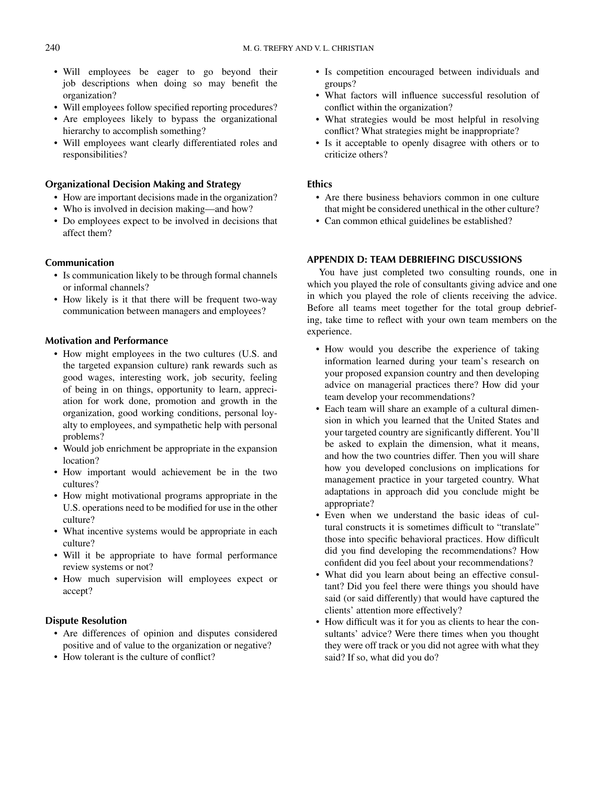- Will employees be eager to go beyond their job descriptions when doing so may benefit the organization?
- Will employees follow specified reporting procedures?
- Are employees likely to bypass the organizational hierarchy to accomplish something?
- Will employees want clearly differentiated roles and responsibilities?

#### **Organizational Decision Making and Strategy**

- How are important decisions made in the organization?
- Who is involved in decision making—and how?
- Do employees expect to be involved in decisions that affect them?

## **Communication**

- Is communication likely to be through formal channels or informal channels?
- How likely is it that there will be frequent two-way communication between managers and employees?

## **Motivation and Performance**

- How might employees in the two cultures (U.S. and the targeted expansion culture) rank rewards such as good wages, interesting work, job security, feeling of being in on things, opportunity to learn, appreciation for work done, promotion and growth in the organization, good working conditions, personal loyalty to employees, and sympathetic help with personal problems?
- Would job enrichment be appropriate in the expansion location?
- How important would achievement be in the two cultures?
- How might motivational programs appropriate in the U.S. operations need to be modified for use in the other culture?
- What incentive systems would be appropriate in each culture?
- Will it be appropriate to have formal performance review systems or not?
- How much supervision will employees expect or accept?

### **Dispute Resolution**

- Are differences of opinion and disputes considered positive and of value to the organization or negative?
- How tolerant is the culture of conflict?
- Is competition encouraged between individuals and groups?
- What factors will influence successful resolution of conflict within the organization?
- What strategies would be most helpful in resolving conflict? What strategies might be inappropriate?
- Is it acceptable to openly disagree with others or to criticize others?

## **Ethics**

- Are there business behaviors common in one culture that might be considered unethical in the other culture?
- Can common ethical guidelines be established?

### **APPENDIX D: TEAM DEBRIEFING DISCUSSIONS**

You have just completed two consulting rounds, one in which you played the role of consultants giving advice and one in which you played the role of clients receiving the advice. Before all teams meet together for the total group debriefing, take time to reflect with your own team members on the experience.

- How would you describe the experience of taking information learned during your team's research on your proposed expansion country and then developing advice on managerial practices there? How did your team develop your recommendations?
- Each team will share an example of a cultural dimension in which you learned that the United States and your targeted country are significantly different. You'll be asked to explain the dimension, what it means, and how the two countries differ. Then you will share how you developed conclusions on implications for management practice in your targeted country. What adaptations in approach did you conclude might be appropriate?
- Even when we understand the basic ideas of cultural constructs it is sometimes difficult to "translate" those into specific behavioral practices. How difficult did you find developing the recommendations? How confident did you feel about your recommendations?
- What did you learn about being an effective consultant? Did you feel there were things you should have said (or said differently) that would have captured the clients' attention more effectively?
- How difficult was it for you as clients to hear the consultants' advice? Were there times when you thought they were off track or you did not agree with what they said? If so, what did you do?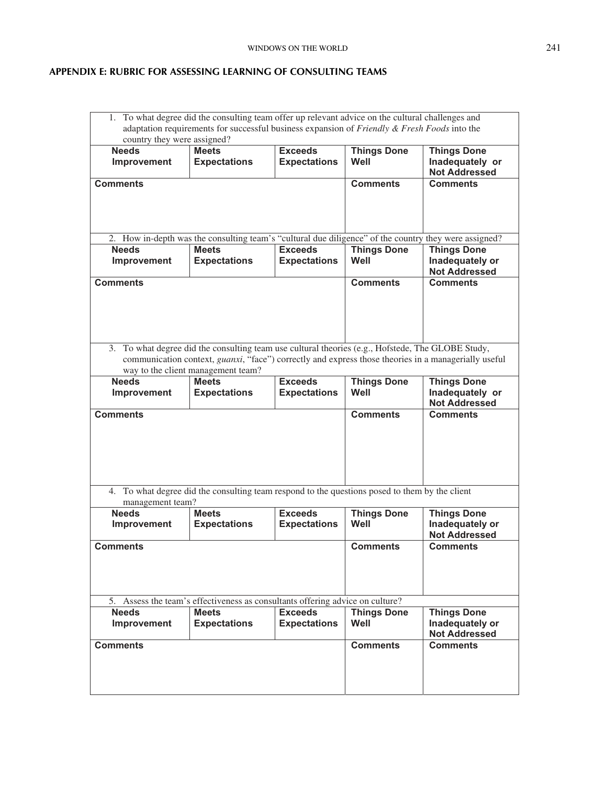## **APPENDIX E: RUBRIC FOR ASSESSING LEARNING OF CONSULTING TEAMS**

| country they were assigned?                                                                                                                                                                                                                                                | 1. To what degree did the consulting team offer up relevant advice on the cultural challenges and<br>adaptation requirements for successful business expansion of Friendly & Fresh Foods into the |                                       |                            |                                                                                                                                                                        |  |
|----------------------------------------------------------------------------------------------------------------------------------------------------------------------------------------------------------------------------------------------------------------------------|---------------------------------------------------------------------------------------------------------------------------------------------------------------------------------------------------|---------------------------------------|----------------------------|------------------------------------------------------------------------------------------------------------------------------------------------------------------------|--|
| <b>Needs</b><br>Improvement                                                                                                                                                                                                                                                | <b>Meets</b><br><b>Expectations</b>                                                                                                                                                               | <b>Exceeds</b><br><b>Expectations</b> | <b>Things Done</b><br>Well | <b>Things Done</b><br>Inadequately or<br><b>Not Addressed</b>                                                                                                          |  |
| <b>Comments</b>                                                                                                                                                                                                                                                            |                                                                                                                                                                                                   |                                       | <b>Comments</b>            | <b>Comments</b>                                                                                                                                                        |  |
| <b>Needs</b><br>Improvement                                                                                                                                                                                                                                                | <b>Meets</b><br><b>Expectations</b>                                                                                                                                                               | <b>Exceeds</b><br><b>Expectations</b> | <b>Things Done</b><br>Well | 2. How in-depth was the consulting team's "cultural due diligence" of the country they were assigned?<br><b>Things Done</b><br>Inadequately or<br><b>Not Addressed</b> |  |
| <b>Comments</b><br><b>Comments</b><br><b>Comments</b><br>3. To what degree did the consulting team use cultural theories (e.g., Hofstede, The GLOBE Study,<br>communication context, <i>guanxi</i> , "face") correctly and express those theories in a managerially useful |                                                                                                                                                                                                   |                                       |                            |                                                                                                                                                                        |  |
| <b>Needs</b><br>Improvement                                                                                                                                                                                                                                                | way to the client management team?<br><b>Meets</b><br><b>Expectations</b>                                                                                                                         | <b>Exceeds</b><br><b>Expectations</b> | <b>Things Done</b><br>Well | <b>Things Done</b><br>Inadequately or<br><b>Not Addressed</b>                                                                                                          |  |
| <b>Comments</b>                                                                                                                                                                                                                                                            |                                                                                                                                                                                                   |                                       | <b>Comments</b>            | <b>Comments</b>                                                                                                                                                        |  |
| 4. To what degree did the consulting team respond to the questions posed to them by the client<br>management team?                                                                                                                                                         |                                                                                                                                                                                                   |                                       |                            |                                                                                                                                                                        |  |
| <b>Needs</b><br>Improvement                                                                                                                                                                                                                                                | <b>Meets</b><br><b>Expectations</b>                                                                                                                                                               | <b>Exceeds</b><br><b>Expectations</b> | <b>Things Done</b><br>Well | <b>Things Done</b><br>Inadequately or<br><b>Not Addressed</b>                                                                                                          |  |
| <b>Comments</b>                                                                                                                                                                                                                                                            |                                                                                                                                                                                                   |                                       | <b>Comments</b>            | <b>Comments</b>                                                                                                                                                        |  |
|                                                                                                                                                                                                                                                                            | 5. Assess the team's effectiveness as consultants offering advice on culture?                                                                                                                     |                                       |                            |                                                                                                                                                                        |  |
| <b>Needs</b><br>Improvement                                                                                                                                                                                                                                                | <b>Meets</b><br><b>Expectations</b>                                                                                                                                                               | <b>Exceeds</b><br><b>Expectations</b> | <b>Things Done</b><br>Well | <b>Things Done</b><br>Inadequately or<br><b>Not Addressed</b>                                                                                                          |  |
| <b>Comments</b>                                                                                                                                                                                                                                                            |                                                                                                                                                                                                   |                                       | <b>Comments</b>            | <b>Comments</b>                                                                                                                                                        |  |